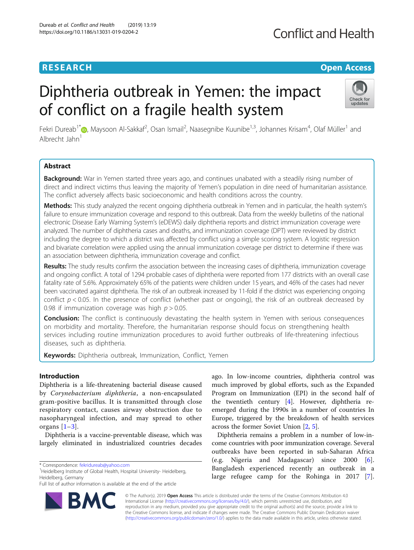# **RESEARCH CHEAR CHEAR CHEAR CHEAR CHEAR CHEAR CHEAR CHEAR CHEAR CHEAR CHEAR CHEAR CHEAR CHEAR CHEAR CHEAR CHEAR**

# Diphtheria outbreak in Yemen: the impact of conflict on a fragile health system



Fekri Dureab<sup>1\*</sup>©, Maysoon Al-Sakkaf<sup>2</sup>, Osan Ismail<sup>2</sup>, Naasegnibe Kuunibe<sup>1,3</sup>, Johannes Krisam<sup>4</sup>, Olaf Müller<sup>1</sup> and Albrecht Jahn<sup>1</sup>

# Abstract

Background: War in Yemen started three years ago, and continues unabated with a steadily rising number of direct and indirect victims thus leaving the majority of Yemen's population in dire need of humanitarian assistance. The conflict adversely affects basic socioeconomic and health conditions across the country.

Methods: This study analyzed the recent ongoing diphtheria outbreak in Yemen and in particular, the health system's failure to ensure immunization coverage and respond to this outbreak. Data from the weekly bulletins of the national electronic Disease Early Warning System's (eDEWS) daily diphtheria reports and district immunization coverage were analyzed. The number of diphtheria cases and deaths, and immunization coverage (DPT) were reviewed by district including the degree to which a district was affected by conflict using a simple scoring system. A logistic regression and bivariate correlation were applied using the annual immunization coverage per district to determine if there was an association between diphtheria, immunization coverage and conflict.

Results: The study results confirm the association between the increasing cases of diphtheria, immunization coverage and ongoing conflict. A total of 1294 probable cases of diphtheria were reported from 177 districts with an overall case fatality rate of 5.6%. Approximately 65% of the patients were children under 15 years, and 46% of the cases had never been vaccinated against diphtheria. The risk of an outbreak increased by 11-fold if the district was experiencing ongoing conflict  $p < 0.05$ . In the presence of conflict (whether past or ongoing), the risk of an outbreak decreased by 0.98 if immunization coverage was high  $p > 0.05$ .

Conclusion: The conflict is continuously devastating the health system in Yemen with serious consequences on morbidity and mortality. Therefore, the humanitarian response should focus on strengthening health services including routine immunization procedures to avoid further outbreaks of life-threatening infectious diseases, such as diphtheria.

Keywords: Diphtheria outbreak, Immunization, Conflict, Yemen

# Introduction

Diphtheria is a life-threatening bacterial disease caused by Corynebacterium diphtheria, a non-encapsulated gram-positive bacillus. It is transmitted through close respiratory contact, causes airway obstruction due to nasopharyngeal infection, and may spread to other organs [\[1](#page-6-0)–[3\]](#page-6-0).

Diphtheria is a vaccine-preventable disease, which was largely eliminated in industrialized countries decades

<sup>1</sup>Heidelberg Institute of Global Health, Hospital University- Heidelberg, Heidelberg, Germany



Diphtheria remains a problem in a number of low-income countries with poor immunization coverage. Several outbreaks have been reported in sub-Saharan Africa (e.g. Nigeria and Madagascar) since  $2000$  [\[6](#page-6-0)]. Bangladesh experienced recently an outbreak in a large refugee camp for the Rohinga in 2017 [\[7](#page-6-0)].



© The Author(s). 2019 Open Access This article is distributed under the terms of the Creative Commons Attribution 4.0 International License [\(http://creativecommons.org/licenses/by/4.0/](http://creativecommons.org/licenses/by/4.0/)), which permits unrestricted use, distribution, and reproduction in any medium, provided you give appropriate credit to the original author(s) and the source, provide a link to the Creative Commons license, and indicate if changes were made. The Creative Commons Public Domain Dedication waiver [\(http://creativecommons.org/publicdomain/zero/1.0/](http://creativecommons.org/publicdomain/zero/1.0/)) applies to the data made available in this article, unless otherwise stated.

<sup>\*</sup> Correspondence: [fekridureab@yahoo.com](mailto:fekridureab@yahoo.com) <sup>1</sup>

Full list of author information is available at the end of the article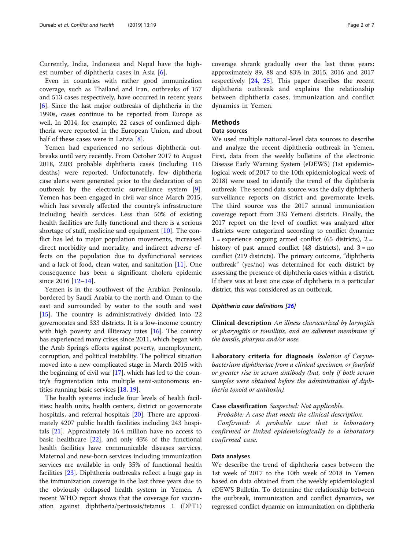Currently, India, Indonesia and Nepal have the highest number of diphtheria cases in Asia [\[6](#page-6-0)].

Even in countries with rather good immunization coverage, such as Thailand and Iran, outbreaks of 157 and 513 cases respectively, have occurred in recent years [[6\]](#page-6-0). Since the last major outbreaks of diphtheria in the 1990s, cases continue to be reported from Europe as well. In 2014, for example, 22 cases of confirmed diphtheria were reported in the European Union, and about half of these cases were in Latvia [[8\]](#page-6-0).

Yemen had experienced no serious diphtheria outbreaks until very recently. From October 2017 to August 2018, 2203 probable diphtheria cases (including 116 deaths) were reported. Unfortunately, few diphtheria case alerts were generated prior to the declaration of an outbreak by the electronic surveillance system [\[9](#page-6-0)]. Yemen has been engaged in civil war since March 2015, which has severely affected the country's infrastructure including health services. Less than 50% of existing health facilities are fully functional and there is a serious shortage of staff, medicine and equipment [[10\]](#page-6-0). The conflict has led to major population movements, increased direct morbidity and mortality, and indirect adverse effects on the population due to dysfunctional services and a lack of food, clean water, and sanitation [[11](#page-6-0)]. One consequence has been a significant cholera epidemic since 2016 [[12](#page-6-0)–[14](#page-6-0)].

Yemen is in the southwest of the Arabian Peninsula, bordered by Saudi Arabia to the north and Oman to the east and surrounded by water to the south and west [[15\]](#page-6-0). The country is administratively divided into 22 governorates and 333 districts. It is a low-income country with high poverty and illiteracy rates  $[16]$  $[16]$  $[16]$ . The country has experienced many crises since 2011, which began with the Arab Spring's efforts against poverty, unemployment, corruption, and political instability. The political situation moved into a new complicated stage in March 2015 with the beginning of civil war [[17\]](#page-6-0), which has led to the country's fragmentation into multiple semi-autonomous entities running basic services [\[18,](#page-6-0) [19](#page-6-0)].

The health systems include four levels of health facilities: health units, health centers, district or governorate hospitals, and referral hospitals [\[20\]](#page-6-0). There are approximately 4207 public health facilities including 243 hospitals [[21\]](#page-6-0). Approximately 16.4 million have no access to basic healthcare [[22\]](#page-6-0), and only 43% of the functional health facilities have communicable diseases services. Maternal and new-born services including immunization services are available in only 35% of functional health facilities [\[23](#page-6-0)]. Diphtheria outbreaks reflect a huge gap in the immunization coverage in the last three years due to the obviously collapsed health system in Yemen. A recent WHO report shows that the coverage for vaccination against diphtheria/pertussis/tetanus 1 (DPT1)

coverage shrank gradually over the last three years: approximately 89, 88 and 83% in 2015, 2016 and 2017 respectively [\[24,](#page-6-0) [25](#page-6-0)]. This paper describes the recent diphtheria outbreak and explains the relationship between diphtheria cases, immunization and conflict dynamics in Yemen.

# Methods

# Data sources

We used multiple national-level data sources to describe and analyze the recent diphtheria outbreak in Yemen. First, data from the weekly bulletins of the electronic Disease Early Warning System (eDEWS) (1st epidemiological week of 2017 to the 10th epidemiological week of 2018) were used to identify the trend of the diphtheria outbreak. The second data source was the daily diphtheria surveillance reports on district and governorate levels. The third source was the 2017 annual immunization coverage report from 333 Yemeni districts. Finally, the 2017 report on the level of conflict was analyzed after districts were categorized according to conflict dynamic:  $1 =$  experience ongoing armed conflict (65 districts),  $2 =$ history of past armed conflict (48 districts), and  $3 = no$ conflict (219 districts). The primary outcome, "diphtheria outbreak" (yes/no) was determined for each district by assessing the presence of diphtheria cases within a district. If there was at least one case of diphtheria in a particular district, this was considered as an outbreak.

# Diphtheria case definitions [[26\]](#page-6-0)

Clinical description An illness characterized by laryngitis or pharyngitis or tonsillitis, and an adherent membrane of the tonsils, pharynx and/or nose.

Laboratory criteria for diagnosis Isolation of Corynebacterium diphtheriae from a clinical specimen, or fourfold or greater rise in serum antibody (but, only if both serum samples were obtained before the administration of diphtheria toxoid or antitoxin).

# Case classification Suspected: Not applicable.

Probable: A case that meets the clinical description. Confirmed: A probable case that is laboratory confirmed or linked epidemiologically to a laboratory

### Data analyses

confirmed case.

We describe the trend of diphtheria cases between the 1st week of 2017 to the 10th week of 2018 in Yemen based on data obtained from the weekly epidemiological eDEWS Bulletin. To determine the relationship between the outbreak, immunization and conflict dynamics, we regressed conflict dynamic on immunization on diphtheria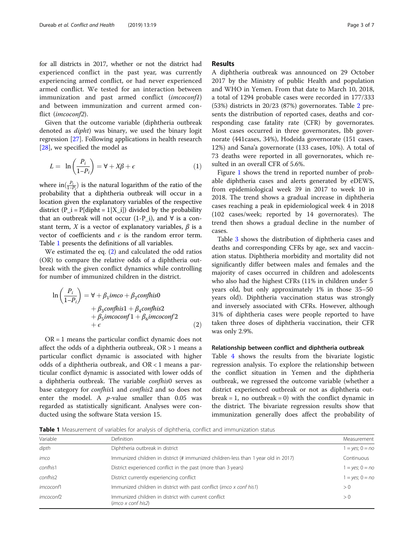for all districts in 2017, whether or not the district had experienced conflict in the past year, was currently experiencing armed conflict, or had never experienced armed conflict. We tested for an interaction between immunization and past armed conflict (imcoconf1) and between immunization and current armed conflict (imcoconf2).

Given that the outcome variable (diphtheria outbreak denoted as dipht) was binary, we used the binary logit regression [\[27](#page-6-0)]. Following applications in health research [[28\]](#page-6-0), we specified the model as

$$
L = \ln\left(\frac{P_i}{1 - P_i}\right) = \forall + X\beta + \epsilon \tag{1}
$$

where  $\text{in}(\frac{P_i}{1-P_i})$  is the natural logarithm of the ratio of the probability that a diphtheria outbreak will occur in a location given the explanatory variables of the respective district  $(P_i = P[\text{dipht} = 1 | X_i])$  divided by the probability that an outbreak will not occur  $(1-P_i)$ , and  $\forall$  is a constant term, X is a vector of explanatory variables,  $\beta$  is a vector of coefficients and  $\epsilon$  is the random error term. Table 1 presents the definitions of all variables.

We estimated the eq. (2) and calculated the odd ratios (OR) to compare the relative odds of a diphtheria outbreak with the given conflict dynamics while controlling for number of immunized children in the district.

$$
\ln\left(\frac{P_i}{1-P_i}\right) = \forall + \beta_1 \text{imco} + \beta_2 \text{confhis0} + \beta_3 \text{confhis1} + \beta_4 \text{confhis2} + \beta_5 \text{imcoconf1} + \beta_6 \text{imcoconf2} + \epsilon
$$
 (2)

 $OR = 1$  means the particular conflict dynamic does not affect the odds of a diphtheria outbreak,  $OR > 1$  means a particular conflict dynamic is associated with higher odds of a diphtheria outbreak, and  $OR < 1$  means a particular conflict dynamic is associated with lower odds of a diphtheria outbreak. The variable confhis0 serves as base category for confhis1 and confhis2 and so does not enter the model. A  $p$ -value smaller than 0.05 was regarded as statistically significant. Analyses were conducted using the software Stata version 15.

# Results

A diphtheria outbreak was announced on 29 October 2017 by the Ministry of public Health and population and WHO in Yemen. From that date to March 10, 2018, a total of 1294 probable cases were recorded in 177/333 (53%) districts in 20/23 (87%) governorates. Table [2](#page-3-0) presents the distribution of reported cases, deaths and corresponding case fatality rate (CFR) by governorates. Most cases occurred in three governorates, Ibb governorate (441cases, 34%), Hodeida governorate (151 cases, 12%) and Sana'a governorate (133 cases, 10%). A total of 73 deaths were reported in all governorates, which resulted in an overall CFR of 5.6%.

Figure [1](#page-4-0) shows the trend in reported number of probable diphtheria cases and alerts generated by eDEWS, from epidemiological week 39 in 2017 to week 10 in 2018. The trend shows a gradual increase in diphtheria cases reaching a peak in epidemiological week 4 in 2018 (102 cases/week; reported by 14 governorates). The trend then shows a gradual decline in the number of cases.

Table [3](#page-4-0) shows the distribution of diphtheria cases and deaths and corresponding CFRs by age, sex and vaccination status. Diphtheria morbidity and mortality did not significantly differ between males and females and the majority of cases occurred in children and adolescents who also had the highest CFRs (11% in children under 5 years old, but only approximately 1% in those 35–50 years old). Diphtheria vaccination status was strongly and inversely associated with CFRs. However, although 31% of diphtheria cases were people reported to have taken three doses of diphtheria vaccination, their CFR was only 2.9%.

# Relationship between conflict and diphtheria outbreak

Table [4](#page-5-0) shows the results from the bivariate logistic regression analysis. To explore the relationship between the conflict situation in Yemen and the diphtheria outbreak, we regressed the outcome variable (whether a district experienced outbreak or not as diphtheria out $break = 1$ , no outbreak = 0) with the conflict dynamic in the district. The bivariate regression results show that immunization generally does affect the probability of

**Table 1** Measurement of variables for analysis of diphtheria, conflict and immunization status

| Variable  | Definition                                                                               | Measurement        |
|-----------|------------------------------------------------------------------------------------------|--------------------|
| dipth     | Diphtheria outbreak in district                                                          | $y = yes$ ; 0 = no |
| imco      | Immunized children in district (# immunized children-less than 1 year old in 2017)       | Continuous         |
| confhis1  | District experienced conflict in the past (more than 3 years)                            | $y = yes$ ; 0 = no |
| confhis2  | District currently experiencing conflict                                                 | $y = yes$ ; 0 = no |
| imcoconf1 | Immunized children in district with past conflict (imco x conf his1)                     | > 0                |
| imcoconf2 | Immunized children in district with current conflict<br>$\frac{1}{2}$ (imco x conf his2) | > 0                |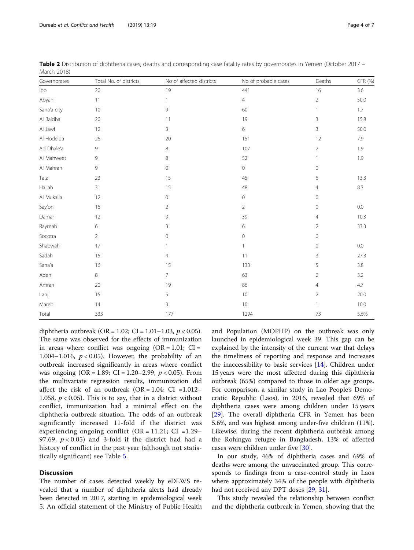diphtheria outbreak (OR = 1.02; CI = 1.01–1.03,  $p < 0.05$ ). The same was observed for the effects of immunization in areas where conflict was ongoing  $(OR = 1.01; CI =$ 1.004–1.016,  $p < 0.05$ ). However, the probability of an outbreak increased significantly in areas where conflict was ongoing  $(OR = 1.89; CI = 1.20 - 2.99, p < 0.05)$ . From the multivariate regression results, immunization did affect the risk of an outbreak (OR =  $1.04$ ; CI =  $1.012-$ 1.058,  $p < 0.05$ ). This is to say, that in a district without conflict, immunization had a minimal effect on the diphtheria outbreak situation. The odds of an outbreak significantly increased 11-fold if the district was experiencing ongoing conflict (OR = 11.21; CI = 1.29– 97.69,  $p < 0.05$ ) and 3-fold if the district had had a history of conflict in the past year (although not statistically significant) see Table [5.](#page-5-0)

# **Discussion**

The number of cases detected weekly by eDEWS revealed that a number of diphtheria alerts had already been detected in 2017, starting in epidemiological week 5. An official statement of the Ministry of Public Health

and Population (MOPHP) on the outbreak was only launched in epidemiological week 39. This gap can be explained by the intensity of the current war that delays the timeliness of reporting and response and increases the inaccessibility to basic services [\[14\]](#page-6-0). Children under 15 years were the most affected during this diphtheria outbreak (65%) compared to those in older age groups. For comparison, a similar study in Lao People's Democratic Republic (Laos), in 2016, revealed that 69% of diphtheria cases were among children under 15 years [[29\]](#page-6-0). The overall diphtheria CFR in Yemen has been 5.6%, and was highest among under-five children (11%). Likewise, during the recent diphtheria outbreak among the Rohingya refugee in Bangladesh, 13% of affected cases were children under five [[30\]](#page-6-0).

In our study, 46% of diphtheria cases and 69% of deaths were among the unvaccinated group. This corresponds to findings from a case-control study in Laos where approximately 34% of the people with diphtheria had not received any DPT doses [[29](#page-6-0), [31](#page-6-0)].

This study revealed the relationship between conflict and the diphtheria outbreak in Yemen, showing that the

| Governorates | Total No. of districts | No of affected districts | No of probable cases | Deaths         | CFR (%) |
|--------------|------------------------|--------------------------|----------------------|----------------|---------|
| Ibb          | 20                     | 19                       | 441                  | 16             | 3.6     |
| Abyan        | 11                     | $\mathbf{1}$             | $\overline{4}$       | $\overline{2}$ | 50.0    |
| Sana'a city  | 10                     | 9                        | 60                   | $\mathbf{1}$   | 1.7     |
| Al Baidha    | 20                     | 11                       | 19                   | 3              | 15.8    |
| Al Jawf      | 12                     | 3                        | 6                    | 3              | 50.0    |
| Al Hodeida   | 26                     | 20                       | 151                  | 12             | 7.9     |
| Ad Dhale'a   | 9                      | 8                        | 107                  | $\overline{2}$ | 1.9     |
| Al Mahweet   | 9                      | 8                        | 52                   | 1              | 1.9     |
| Al Mahrah    | 9                      | $\mathsf O$              | $\mathsf{O}\xspace$  | 0              |         |
| Taiz         | 23                     | 15                       | 45                   | 6              | 13.3    |
| Hajjah       | 31                     | 15                       | 48                   | $\overline{4}$ | 8.3     |
| Al Mukalla   | 12                     | $\mathsf{O}\xspace$      | $\mathsf{O}\xspace$  | 0              |         |
| Say'on       | 16                     | $\sqrt{2}$               | $\overline{2}$       | 0              | $0.0\,$ |
| Damar        | 12                     | 9                        | 39                   | $\overline{4}$ | 10.3    |
| Raymah       | 6                      | 3                        | 6                    | $\overline{2}$ | 33.3    |
| Socotra      | $\overline{2}$         | $\mathsf{O}\xspace$      | $\mathsf{O}\xspace$  | 0              |         |
| Shabwah      | 17                     | 1                        | 1                    | 0              | $0.0\,$ |
| Sadah        | 15                     | $\overline{4}$           | 11                   | 3              | 27.3    |
| Sana'a       | 16                     | 15                       | 133                  | 5              | 3.8     |
| Aden         | $\,8\,$                | $\overline{7}$           | 63                   | $\overline{2}$ | 3.2     |
| Amran        | 20                     | 19                       | 86                   | $\overline{4}$ | 4.7     |
| Lahj         | 15                     | 5                        | 10                   | $\overline{2}$ | 20.0    |
| Mareb        | 14                     | 3                        | 10                   | $\mathbf{1}$   | 10.0    |
| Total        | 333                    | 177                      | 1294                 | 73             | 5.6%    |

<span id="page-3-0"></span>Table 2 Distribution of diphtheria cases, deaths and corresponding case fatality rates by governorates in Yemen (October 2017 – March 2018)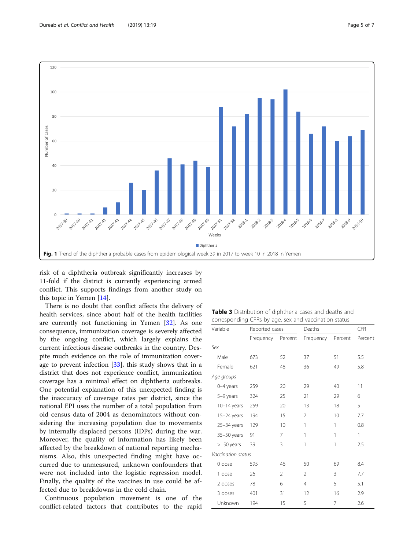<span id="page-4-0"></span>

risk of a diphtheria outbreak significantly increases by 11-fold if the district is currently experiencing armed conflict. This supports findings from another study on this topic in Yemen [\[14](#page-6-0)].

There is no doubt that conflict affects the delivery of health services, since about half of the health facilities are currently not functioning in Yemen [[32\]](#page-6-0). As one consequence, immunization coverage is severely affected by the ongoing conflict, which largely explains the current infectious disease outbreaks in the country. Despite much evidence on the role of immunization coverage to prevent infection [\[33](#page-6-0)], this study shows that in a district that does not experience conflict, immunization coverage has a minimal effect on diphtheria outbreaks. One potential explanation of this unexpected finding is the inaccuracy of coverage rates per district, since the national EPI uses the number of a total population from old census data of 2004 as denominators without considering the increasing population due to movements by internally displaced persons (IDPs) during the war. Moreover, the quality of information has likely been affected by the breakdown of national reporting mechanisms. Also, this unexpected finding might have occurred due to unmeasured, unknown confounders that were not included into the logistic regression model. Finally, the quality of the vaccines in use could be affected due to breakdowns in the cold chain.

Continuous population movement is one of the conflict-related factors that contributes to the rapid

| Table 3 Distribution of diphtheria cases and deaths and |  |  |  |
|---------------------------------------------------------|--|--|--|
| corresponding CFRs by age, sex and vaccination status   |  |  |  |

| Variable           | Reported cases |         | Deaths         |         | <b>CFR</b> |
|--------------------|----------------|---------|----------------|---------|------------|
|                    | Frequency      | Percent | Frequency      | Percent | Percent    |
| Sex                |                |         |                |         |            |
| Male               | 673            | 52      | 37             | 51      | 5.5        |
| Female             | 621            | 48      | 36             | 49      | 5.8        |
| Age groups         |                |         |                |         |            |
| 0-4 years          | 259            | 20      | 29             | 40      | 11         |
| 5-9 years          | 324            | 25      | 21             | 29      | 6          |
| $10-14$ years      | 259            | 20      | 13             | 18      | 5          |
| $15-24$ years      | 194            | 15      | 7              | 10      | 7.7        |
| $25 - 34$ years    | 129            | 10      | 1              | 1       | 0.8        |
| 35-50 years        | 91             | 7       | 1              | 1       | 1          |
| $> 50$ years       | 39             | 3       | 1              | 1       | 2.5        |
| Vaccination status |                |         |                |         |            |
| 0 dose             | 595            | 46      | 50             | 69      | 8.4        |
| 1 dose             | 26             | 2       | $\overline{2}$ | 3       | 7.7        |
| 2 doses            | 78             | 6       | $\overline{4}$ | 5       | 5.1        |
| 3 doses            | 401            | 31      | 12             | 16      | 2.9        |
| Unknown            | 194            | 15      | 5              | 7       | 2.6        |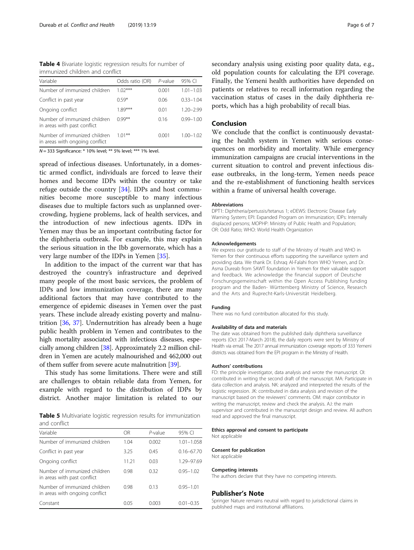<span id="page-5-0"></span>Table 4 Bivariate logistic regression results for number of immunized children and conflict

| Variable                                                       | Odds ratio (OR) | P-value | 95% CI        |
|----------------------------------------------------------------|-----------------|---------|---------------|
| Number of immunized children                                   | $102***$        | 0.001   | $1.01 - 1.03$ |
| Conflict in past year                                          | $0.59*$         | 0.06    | $0.33 - 1.04$ |
| Ongoing conflict                                               | $1.89***$       | 0.01    | $1.20 - 2.99$ |
| Number of immunized children<br>in areas with past conflict    | $0.99***$       | 0.16    | $0.99 - 1.00$ |
| Number of immunized children<br>in areas with ongoing conflict | $1.01***$       | 0.001   | $1.00 - 1.02$ |

 $N = 333$  Significance: \* 10% level; \*\* 5% level; \*\*\* 1% level.

spread of infectious diseases. Unfortunately, in a domestic armed conflict, individuals are forced to leave their homes and become IDPs within the country or take refuge outside the country [[34\]](#page-6-0). IDPs and host communities become more susceptible to many infectious diseases due to multiple factors such as unplanned overcrowding, hygiene problems, lack of health services, and the introduction of new infectious agents. IDPs in Yemen may thus be an important contributing factor for the diphtheria outbreak. For example, this may explain the serious situation in the Ibb governorate, which has a very large number of the IDPs in Yemen [\[35](#page-6-0)].

In addition to the impact of the current war that has destroyed the country's infrastructure and deprived many people of the most basic services, the problem of IDPs and low immunization coverage, there are many additional factors that may have contributed to the emergence of epidemic diseases in Yemen over the past years. These include already existing poverty and malnutrition [\[36](#page-6-0), [37\]](#page-6-0). Undernutrition has already been a huge public health problem in Yemen and contributes to the high mortality associated with infectious diseases, especially among children [\[38\]](#page-6-0). Approximately 2.2 million children in Yemen are acutely malnourished and 462,000 out of them suffer from severe acute malnutrition [\[39\]](#page-6-0).

This study has some limitations. There were and still are challenges to obtain reliable data from Yemen, for example with regard to the distribution of IDPs by district. Another major limitation is related to our

Table 5 Multivariate logistic regression results for immunization and conflict

| Variable                                                       | OR              | $P$ -value | 95% CI         |
|----------------------------------------------------------------|-----------------|------------|----------------|
| Number of immunized children                                   | 1 <sub>04</sub> | 0.002      | $1.01 - 1.058$ |
| Conflict in past year                                          | 3.25            | 045        | $0.16 - 67.70$ |
| Ongoing conflict                                               | 11.21           | 0.03       | 1.29-97.69     |
| Number of immunized children<br>in areas with past conflict    | 0.98            | 032        | $0.95 - 1.02$  |
| Number of immunized children<br>in areas with ongoing conflict | 0.98            | 0.13       | $0.95 - 1.01$  |
| Constant                                                       | 0.05            | 0.003      | $0.01 - 0.35$  |

secondary analysis using existing poor quality data, e.g., old population counts for calculating the EPI coverage. Finally, the Yemeni health authorities have depended on patients or relatives to recall information regarding the vaccination status of cases in the daily diphtheria reports, which has a high probability of recall bias.

# Conclusion

We conclude that the conflict is continuously devastating the health system in Yemen with serious consequences on morbidity and mortality. While emergency immunization campaigns are crucial interventions in the current situation to control and prevent infectious disease outbreaks, in the long-term, Yemen needs peace and the re-establishment of functioning health services within a frame of universal health coverage.

#### Abbreviations

DPT1: Diphtheria/pertussis/tetanus 1; eDEWS: Electronic Disease Early Warning System; EPI: Expanded Program on Immunization; IDPs: Internally displaced persons; MOPHP: Ministry of Public Health and Population; OR: Odd Ratio; WHO: World Health Organization

#### Acknowledgements

We express our gratitude to staff of the Ministry of Health and WHO in Yemen for their continuous efforts supporting the surveillance system and providing data. We thank Dr. Eshraq Al-Falahi from WHO Yemen, and Dr. Asma Dureab from SAWT foundation in Yemen for their valuable support and feedback. We acknowledge the financial support of Deutsche Forschungsgemeinschaft within the Open Access Publishing funding program and the Baden- Württemberg Ministry of Science, Research and the Arts and Ruprecht-Karls-Universität Heidelberg.

#### Funding

There was no fund contribution allocated for this study.

# Availability of data and materials

The date was obtained from the published daily diphtheria surveillance reports (Oct 2017-March 2018), the daily reports were sent by Ministry of Health via email. The 2017 annual immunization coverage reports of 333 Yemeni districts was obtained from the EPI program in the Ministry of Health.

#### Authors' contributions

FD: the principle investigator, data analysis and wrote the manuscript. OI: contributed in writing the second draft of the manuscript. MA: Participate in data collection and analysis. NK: analyzed and interpreted the results of the logistic regression. JK: contributed in data analysis and revision of the manuscript based on the reviewers' comments. OM: major contributor in writing the manuscript, review and check the analysis. AJ: the main supervisor and contributed in the manuscript design and review. All authors read and approved the final manuscript.

#### Ethics approval and consent to participate

Not applicable

Consent for publication Not applicable

#### Competing interests

The authors declare that they have no competing interests.

#### Publisher's Note

Springer Nature remains neutral with regard to jurisdictional claims in published maps and institutional affiliations.